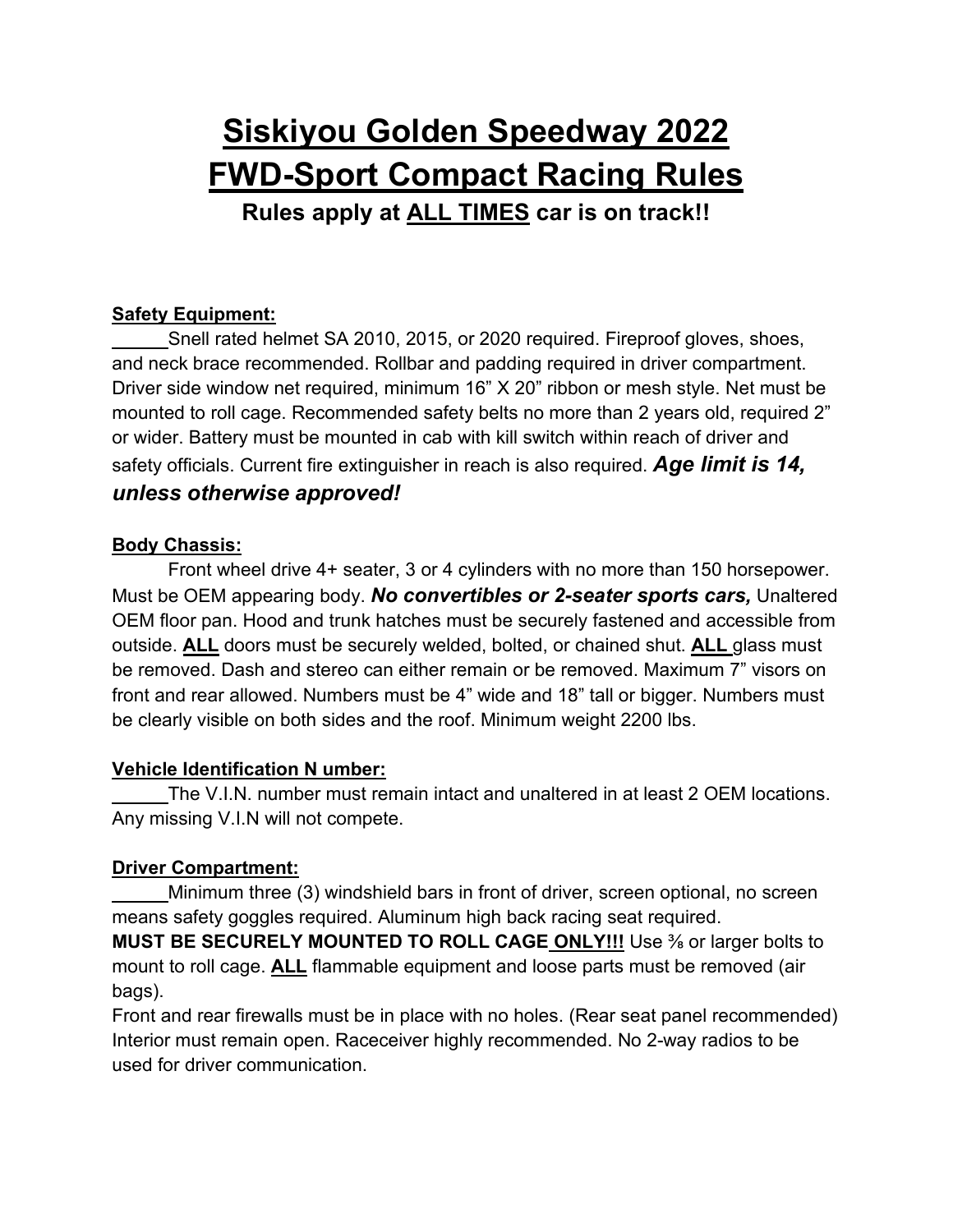# **Siskiyou Golden Speedway 2022 FWD-Sport Compact Racing Rules Rules apply at ALL TIMES car is on track!!**

### **Safety Equipment:**

Snell rated helmet SA 2010, 2015, or 2020 required. Fireproof gloves, shoes, and neck brace recommended. Rollbar and padding required in driver compartment. Driver side window net required, minimum 16" X 20" ribbon or mesh style. Net must be mounted to roll cage. Recommended safety belts no more than 2 years old, required 2" or wider. Battery must be mounted in cab with kill switch within reach of driver and safety officials. Current fire extinguisher in reach is also required. *Age limit is 14, unless otherwise approved!*

#### **Body Chassis:**

Front wheel drive 4+ seater, 3 or 4 cylinders with no more than 150 horsepower. Must be OEM appearing body. *No convertibles or 2-seater sports cars,* Unaltered OEM floor pan. Hood and trunk hatches must be securely fastened and accessible from outside. **ALL** doors must be securely welded, bolted, or chained shut. **ALL** glass must be removed. Dash and stereo can either remain or be removed. Maximum 7" visors on front and rear allowed. Numbers must be 4" wide and 18" tall or bigger. Numbers must be clearly visible on both sides and the roof. Minimum weight 2200 lbs.

#### **Vehicle Identification N umber:**

The V.I.N. number must remain intact and unaltered in at least 2 OEM locations. Any missing V.I.N will not compete.

# **Driver Compartment:**

Minimum three (3) windshield bars in front of driver, screen optional, no screen means safety goggles required. Aluminum high back racing seat required.

**MUST BE SECURELY MOUNTED TO ROLL CAGE ONLY!!!** Use ⅜ or larger bolts to mount to roll cage. **ALL** flammable equipment and loose parts must be removed (air bags).

Front and rear firewalls must be in place with no holes. (Rear seat panel recommended) Interior must remain open. Raceceiver highly recommended. No 2-way radios to be used for driver communication.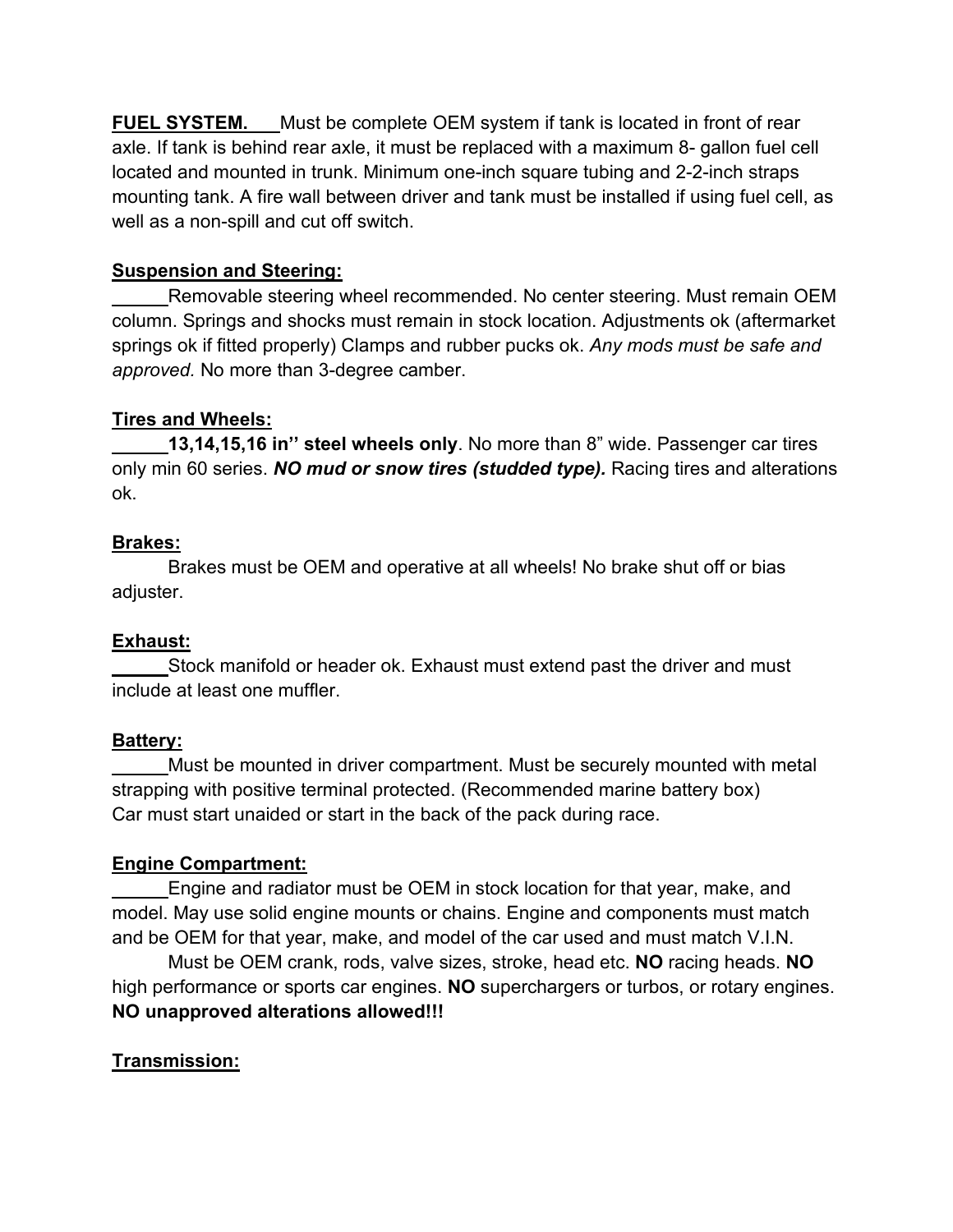**FUEL SYSTEM.** Must be complete OEM system if tank is located in front of rear axle. If tank is behind rear axle, it must be replaced with a maximum 8- gallon fuel cell located and mounted in trunk. Minimum one-inch square tubing and 2-2-inch straps mounting tank. A fire wall between driver and tank must be installed if using fuel cell, as well as a non-spill and cut off switch.

# **Suspension and Steering:**

Removable steering wheel recommended. No center steering. Must remain OEM column. Springs and shocks must remain in stock location. Adjustments ok (aftermarket springs ok if fitted properly) Clamps and rubber pucks ok. *Any mods must be safe and approved.* No more than 3-degree camber.

### **Tires and Wheels:**

**13,14,15,16 in'' steel wheels only**. No more than 8" wide. Passenger car tires only min 60 series. *NO mud or snow tires (studded type).* Racing tires and alterations ok.

#### **Brakes:**

Brakes must be OEM and operative at all wheels! No brake shut off or bias adjuster.

# **Exhaust:**

Stock manifold or header ok. Exhaust must extend past the driver and must include at least one muffler.

# **Battery:**

Must be mounted in driver compartment. Must be securely mounted with metal strapping with positive terminal protected. (Recommended marine battery box) Car must start unaided or start in the back of the pack during race.

#### **Engine Compartment:**

Engine and radiator must be OEM in stock location for that year, make, and model. May use solid engine mounts or chains. Engine and components must match and be OEM for that year, make, and model of the car used and must match V.I.N.

Must be OEM crank, rods, valve sizes, stroke, head etc. **NO** racing heads. **NO**  high performance or sports car engines. **NO** superchargers or turbos, or rotary engines. **NO unapproved alterations allowed!!!**

# **Transmission:**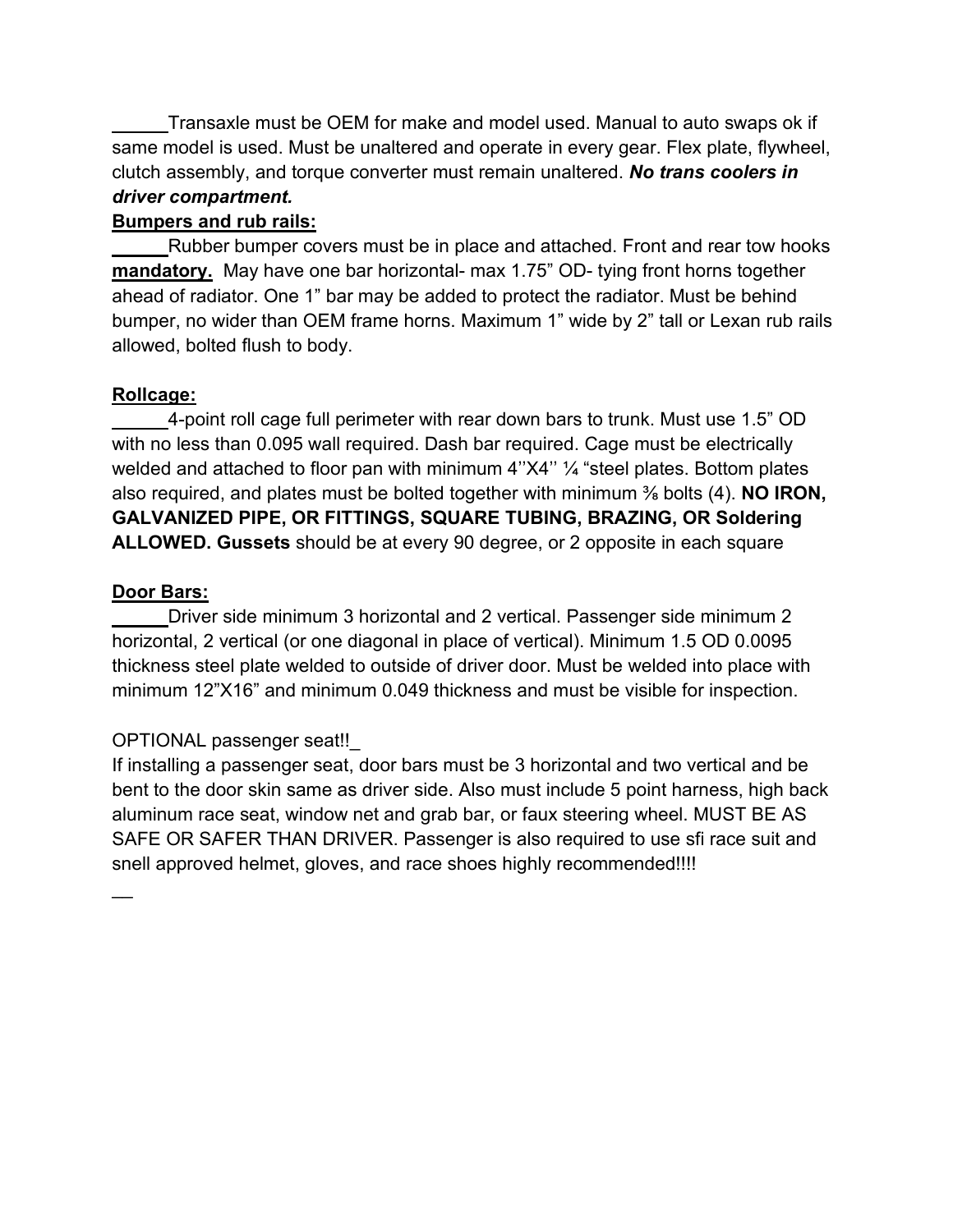Transaxle must be OEM for make and model used. Manual to auto swaps ok if same model is used. Must be unaltered and operate in every gear. Flex plate, flywheel, clutch assembly, and torque converter must remain unaltered. *No trans coolers in driver compartment.*

### **Bumpers and rub rails:**

Rubber bumper covers must be in place and attached. Front and rear tow hooks **mandatory.** May have one bar horizontal- max 1.75" OD- tying front horns together ahead of radiator. One 1" bar may be added to protect the radiator. Must be behind bumper, no wider than OEM frame horns. Maximum 1" wide by 2" tall or Lexan rub rails allowed, bolted flush to body.

# **Rollcage:**

4-point roll cage full perimeter with rear down bars to trunk. Must use 1.5" OD with no less than 0.095 wall required. Dash bar required. Cage must be electrically welded and attached to floor pan with minimum 4"X4" 1/4 "steel plates. Bottom plates also required, and plates must be bolted together with minimum ⅜ bolts (4). **NO IRON, GALVANIZED PIPE, OR FITTINGS, SQUARE TUBING, BRAZING, OR Soldering ALLOWED. Gussets** should be at every 90 degree, or 2 opposite in each square

### **Door Bars:**

Driver side minimum 3 horizontal and 2 vertical. Passenger side minimum 2 horizontal, 2 vertical (or one diagonal in place of vertical). Minimum 1.5 OD 0.0095 thickness steel plate welded to outside of driver door. Must be welded into place with minimum 12"X16" and minimum 0.049 thickness and must be visible for inspection.

# OPTIONAL passenger seat!!\_

If installing a passenger seat, door bars must be 3 horizontal and two vertical and be bent to the door skin same as driver side. Also must include 5 point harness, high back aluminum race seat, window net and grab bar, or faux steering wheel. MUST BE AS SAFE OR SAFER THAN DRIVER. Passenger is also required to use sfi race suit and snell approved helmet, gloves, and race shoes highly recommended!!!!

 $\overline{\phantom{a}}$